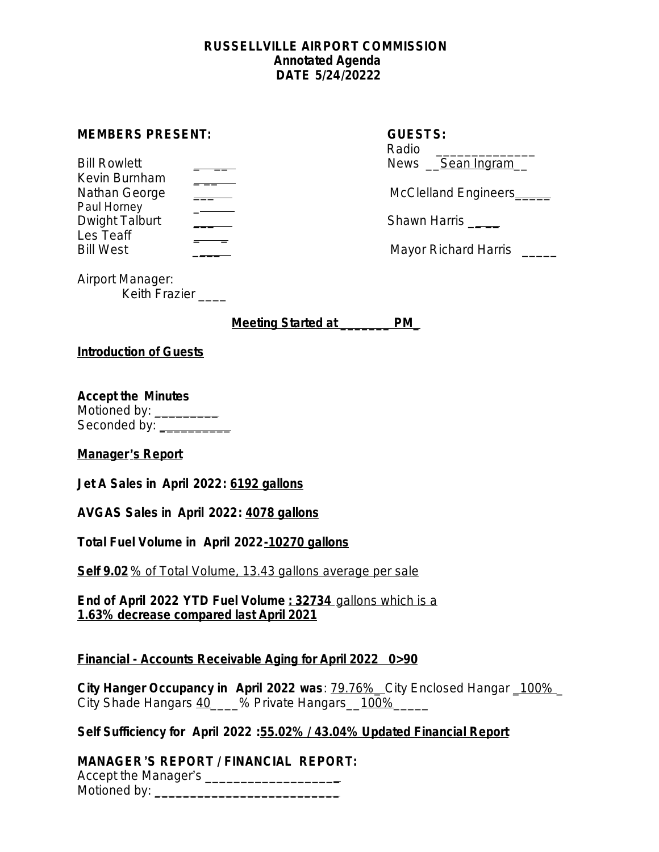#### **RUSSELLVILLE AIRPORT COMMISSION Annotated Agenda DATE 5/24/20222**

#### **MEMBERS PRESENT:**

| <b>Bill Rowlett</b>   | News Sean Ingram      |
|-----------------------|-----------------------|
| Kevin Burnham         |                       |
| Nathan George         | McClelland Engineers_ |
| Paul Horney           |                       |
| Dwight Talburt        | Shawn Harris          |
| Les Teaff             |                       |
| $RIII$ $M$ $\alpha$ t | Mayor Dichard Harric  |

| <b>GUESTS:</b><br>Radio |
|-------------------------|
| News <u>Sean Ingram</u> |
| McClelland Engineers_   |

Bill West \_\_\_\_ Mayor Richard Harris \_\_\_\_\_

Airport Manager: Keith Frazier \_\_\_\_

**Meeting Started at \_\_\_\_\_\_\_ PM\_**

### **Introduction of Guests**

**Accept the Minutes**

Motioned by: \_\_\_\_\_\_\_\_\_ Seconded by: **\_**\_\_\_\_\_\_\_\_\_

### **Manager**'**s Report**

**Jet A Sales in April 2022: 6192 gallons**

**AVGAS Sales in April 2022: 4078 gallons**

**Total Fuel Volume in April 2022-10270 gallons**

**Self 9.02** % of Total Volume, 13.43 gallons average per sale

**End of April 2022 YTD Fuel Volume : 32734** gallons which is a **1.63% decrease compared last April 2021**

## **Financial - Accounts Receivable Aging for April 2022 0>90**

**City Hanger Occupancy in April 2022 was**: 79.76%\_ City Enclosed Hangar \_100% \_ City Shade Hangars 40 \_\_\_% Private Hangars 100%

## **Self Sufficiency for April 2022 :55.02% / 43.04% Updated Financial Report**

# **MANAGER**'**S REPORT / FINANCIAL REPORT:**

Accept the Manager's \_\_\_\_\_\_\_\_\_\_\_\_\_\_\_\_\_\_\_ Motioned by: **\_\_\_\_\_\_\_\_\_\_\_\_\_\_\_\_\_\_\_\_\_\_\_\_\_\_**